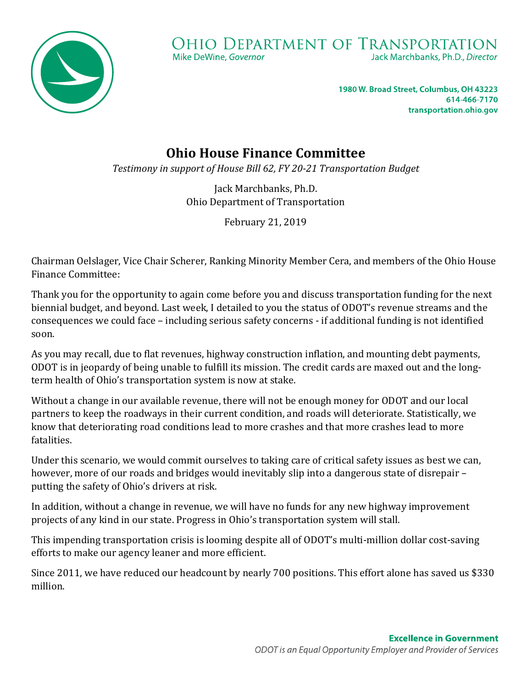

1980 W. Broad Street, Columbus, OH 43223 614-466-7170 transportation.ohio.gov

## **Ohio House Finance Committee**

*Testimony in support of House Bill 62, FY 20-21 Transportation Budget*

Jack Marchbanks, Ph.D. Ohio Department of Transportation

February 21, 2019

Chairman Oelslager, Vice Chair Scherer, Ranking Minority Member Cera, and members of the Ohio House Finance Committee:

Thank you for the opportunity to again come before you and discuss transportation funding for the next biennial budget, and beyond. Last week, I detailed to you the status of ODOT's revenue streams and the consequences we could face – including serious safety concerns - if additional funding is not identified soon.

As you may recall, due to flat revenues, highway construction inflation, and mounting debt payments, ODOT is in jeopardy of being unable to fulfill its mission. The credit cards are maxed out and the longterm health of Ohio's transportation system is now at stake.

Without a change in our available revenue, there will not be enough money for ODOT and our local partners to keep the roadways in their current condition, and roads will deteriorate. Statistically, we know that deteriorating road conditions lead to more crashes and that more crashes lead to more fatalities.

Under this scenario, we would commit ourselves to taking care of critical safety issues as best we can, however, more of our roads and bridges would inevitably slip into a dangerous state of disrepair – putting the safety of Ohio's drivers at risk.

In addition, without a change in revenue, we will have no funds for any new highway improvement projects of any kind in our state. Progress in Ohio's transportation system will stall.

This impending transportation crisis is looming despite all of ODOT's multi-million dollar cost-saving efforts to make our agency leaner and more efficient.

Since 2011, we have reduced our headcount by nearly 700 positions. This effort alone has saved us \$330 million.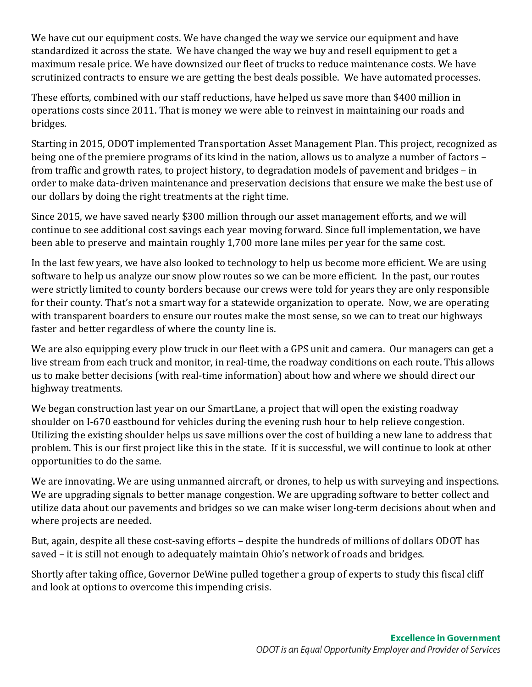We have cut our equipment costs. We have changed the way we service our equipment and have standardized it across the state. We have changed the way we buy and resell equipment to get a maximum resale price. We have downsized our fleet of trucks to reduce maintenance costs. We have scrutinized contracts to ensure we are getting the best deals possible. We have automated processes.

These efforts, combined with our staff reductions, have helped us save more than \$400 million in operations costs since 2011. That is money we were able to reinvest in maintaining our roads and bridges.

Starting in 2015, ODOT implemented Transportation Asset Management Plan. This project, recognized as being one of the premiere programs of its kind in the nation, allows us to analyze a number of factors – from traffic and growth rates, to project history, to degradation models of pavement and bridges – in order to make data-driven maintenance and preservation decisions that ensure we make the best use of our dollars by doing the right treatments at the right time.

Since 2015, we have saved nearly \$300 million through our asset management efforts, and we will continue to see additional cost savings each year moving forward. Since full implementation, we have been able to preserve and maintain roughly 1,700 more lane miles per year for the same cost.

In the last few years, we have also looked to technology to help us become more efficient. We are using software to help us analyze our snow plow routes so we can be more efficient. In the past, our routes were strictly limited to county borders because our crews were told for years they are only responsible for their county. That's not a smart way for a statewide organization to operate. Now, we are operating with transparent boarders to ensure our routes make the most sense, so we can to treat our highways faster and better regardless of where the county line is.

We are also equipping every plow truck in our fleet with a GPS unit and camera. Our managers can get a live stream from each truck and monitor, in real-time, the roadway conditions on each route. This allows us to make better decisions (with real-time information) about how and where we should direct our highway treatments.

We began construction last year on our SmartLane, a project that will open the existing roadway shoulder on I-670 eastbound for vehicles during the evening rush hour to help relieve congestion. Utilizing the existing shoulder helps us save millions over the cost of building a new lane to address that problem. This is our first project like this in the state. If it is successful, we will continue to look at other opportunities to do the same.

We are innovating. We are using unmanned aircraft, or drones, to help us with surveying and inspections. We are upgrading signals to better manage congestion. We are upgrading software to better collect and utilize data about our pavements and bridges so we can make wiser long-term decisions about when and where projects are needed.

But, again, despite all these cost-saving efforts – despite the hundreds of millions of dollars ODOT has saved – it is still not enough to adequately maintain Ohio's network of roads and bridges.

Shortly after taking office, Governor DeWine pulled together a group of experts to study this fiscal cliff and look at options to overcome this impending crisis.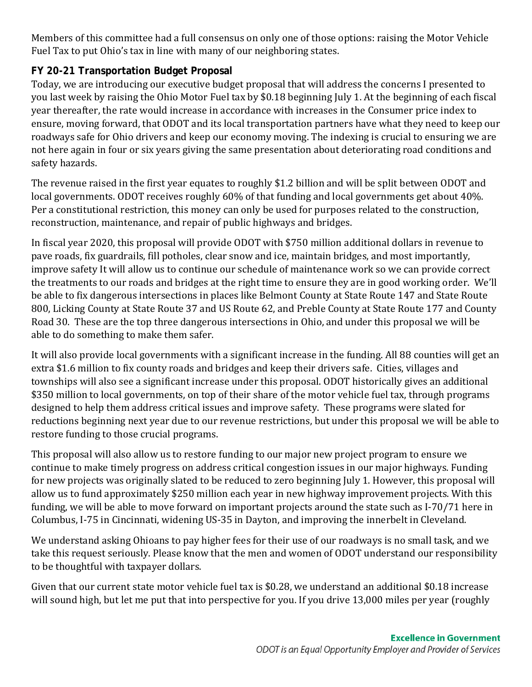Members of this committee had a full consensus on only one of those options: raising the Motor Vehicle Fuel Tax to put Ohio's tax in line with many of our neighboring states.

## **FY 20-21 Transportation Budget Proposal**

Today, we are introducing our executive budget proposal that will address the concerns I presented to you last week by raising the Ohio Motor Fuel tax by \$0.18 beginning July 1. At the beginning of each fiscal year thereafter, the rate would increase in accordance with increases in the Consumer price index to ensure, moving forward, that ODOT and its local transportation partners have what they need to keep our roadways safe for Ohio drivers and keep our economy moving. The indexing is crucial to ensuring we are not here again in four or six years giving the same presentation about deteriorating road conditions and safety hazards.

The revenue raised in the first year equates to roughly \$1.2 billion and will be split between ODOT and local governments. ODOT receives roughly 60% of that funding and local governments get about 40%. Per a constitutional restriction, this money can only be used for purposes related to the construction, reconstruction, maintenance, and repair of public highways and bridges.

In fiscal year 2020, this proposal will provide ODOT with \$750 million additional dollars in revenue to pave roads, fix guardrails, fill potholes, clear snow and ice, maintain bridges, and most importantly, improve safety It will allow us to continue our schedule of maintenance work so we can provide correct the treatments to our roads and bridges at the right time to ensure they are in good working order. We'll be able to fix dangerous intersections in places like Belmont County at State Route 147 and State Route 800, Licking County at State Route 37 and US Route 62, and Preble County at State Route 177 and County Road 30. These are the top three dangerous intersections in Ohio, and under this proposal we will be able to do something to make them safer.

It will also provide local governments with a significant increase in the funding. All 88 counties will get an extra \$1.6 million to fix county roads and bridges and keep their drivers safe. Cities, villages and townships will also see a significant increase under this proposal. ODOT historically gives an additional \$350 million to local governments, on top of their share of the motor vehicle fuel tax, through programs designed to help them address critical issues and improve safety. These programs were slated for reductions beginning next year due to our revenue restrictions, but under this proposal we will be able to restore funding to those crucial programs.

This proposal will also allow us to restore funding to our major new project program to ensure we continue to make timely progress on address critical congestion issues in our major highways. Funding for new projects was originally slated to be reduced to zero beginning July 1. However, this proposal will allow us to fund approximately \$250 million each year in new highway improvement projects. With this funding, we will be able to move forward on important projects around the state such as I-70/71 here in Columbus, I-75 in Cincinnati, widening US-35 in Dayton, and improving the innerbelt in Cleveland.

We understand asking Ohioans to pay higher fees for their use of our roadways is no small task, and we take this request seriously. Please know that the men and women of ODOT understand our responsibility to be thoughtful with taxpayer dollars.

Given that our current state motor vehicle fuel tax is \$0.28, we understand an additional \$0.18 increase will sound high, but let me put that into perspective for you. If you drive 13,000 miles per year (roughly